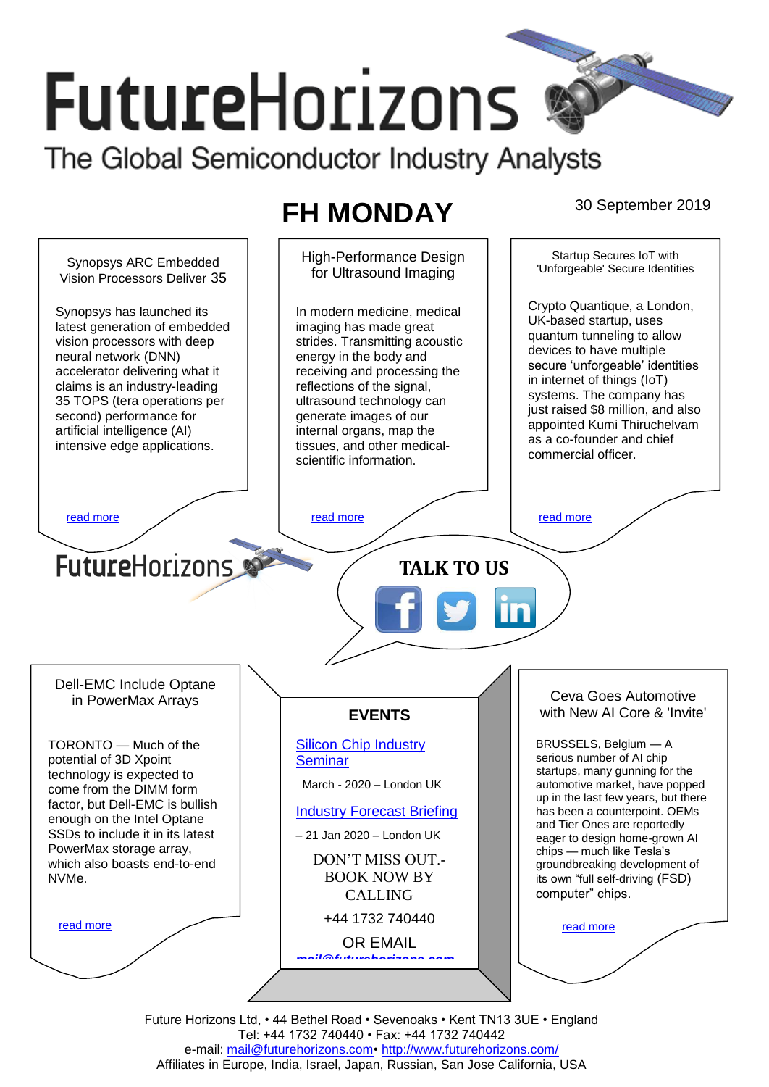# **FutureHorizons** The Global Semiconductor Industry Analysts

# **FH MONDAY** 30 September 2019



Future Horizons Ltd, • 44 Bethel Road • Sevenoaks • Kent TN13 3UE • England Tel: +44 1732 740440 • Fax: +44 1732 740442 e-mail: mail@futurehorizons.com• http://www.futurehorizons.com/ Affiliates in Europe, India, Israel, Japan, Russian, San Jose California, USA